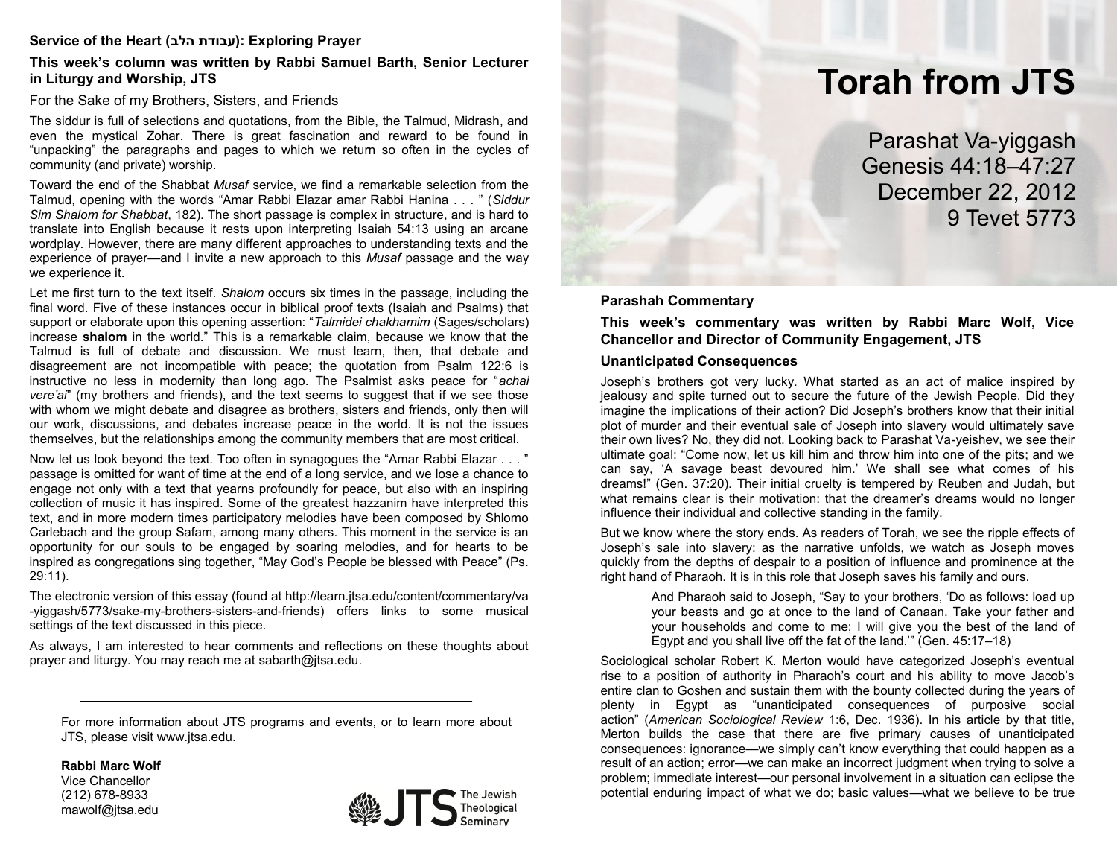## **Service of the Heart (הלב עבודת(: Exploring Prayer**

#### **This week's column was written by Rabbi Samuel Barth, Senior Lecturer in Liturgy and Worship, JTS**

For the Sake of my Brothers, Sisters, and Friends

The siddur is full of selections and quotations, from the Bible, the Talmud, Midrash, and even the mystical Zohar. There is great fascination and reward to be found in "unpacking" the paragraphs and pages to which we return so often in the cycles of community (and private) worship.

Toward the end of the Shabbat *Musaf* service, we find a remarkable selection from the Talmud, opening with the words "Amar Rabbi Elazar amar Rabbi Hanina . . . " (*Siddur Sim Shalom for Shabbat*, 182). The short passage is complex in structure, and is hard to translate into English because it rests upon interpreting Isaiah 54:13 using an arcane wordplay. However, there are many different approaches to understanding texts and the experience of prayer—and I invite a new approach to this *Musaf* passage and the way we experience it.

Let me first turn to the text itself. *Shalom* occurs six times in the passage, including the final word. Five of these instances occur in biblical proof texts (Isaiah and Psalms) that support or elaborate upon this opening assertion: "*Talmidei chakhamim* (Sages/scholars) increase **shalom** in the world." This is a remarkable claim, because we know that the Talmud is full of debate and discussion. We must learn, then, that debate and disagreement are not incompatible with peace; the quotation from Psalm 122:6 is instructive no less in modernity than long ago. The Psalmist asks peace for "*achai vere'ai*" (my brothers and friends), and the text seems to suggest that if we see those with whom we might debate and disagree as brothers, sisters and friends, only then will our work, discussions, and debates increase peace in the world. It is not the issues themselves, but the relationships among the community members that are most critical.

Now let us look beyond the text. Too often in synagogues the "Amar Rabbi Elazar . . . " passage is omitted for want of time at the end of a long service, and we lose a chance to engage not only with a text that yearns profoundly for peace, but also with an inspiring collection of music it has inspired. Some of the greatest hazzanim have interpreted this text, and in more modern times participatory melodies have been composed by Shlomo Carlebach and the group Safam, among many others. This moment in the service is an opportunity for our souls to be engaged by soaring melodies, and for hearts to be inspired as congregations sing together, "May God's People be blessed with Peace" (Ps. 29:11).

The electronic version of this essay (found at http://learn.jtsa.edu/content/commentary/va -yiggash/5773/sake-my-brothers-sisters-and-friends) offers links to some musical settings of the text discussed in this piece.

As always, I am interested to hear comments and reflections on these thoughts about prayer and liturgy. You may reach me at sabarth@jtsa.edu.

For more information about JTS programs and events, or to learn more about JTS, please visit www.jtsa.edu.

**Rabbi Marc Wolf**

Vice Chancellor (212) 678-8933 mawolf@jtsa.edu



# **Torah from JTS**

Parashat Va-yiggash Genesis 44:18–47:27 December 22, 2012 9 Tevet 5773

#### **Parashah Commentary**

**This week's commentary was written by Rabbi Marc Wolf, Vice Chancellor and Director of Community Engagement, JTS**

#### **Unanticipated Consequences**

Joseph's brothers got very lucky. What started as an act of malice inspired by jealousy and spite turned out to secure the future of the Jewish People. Did they imagine the implications of their action? Did Joseph's brothers know that their initial plot of murder and their eventual sale of Joseph into slavery would ultimately save their own lives? No, they did not. Looking back to Parashat Va-yeishev, we see their ultimate goal: "Come now, let us kill him and throw him into one of the pits; and we can say, 'A savage beast devoured him.' We shall see what comes of his dreams!" (Gen. 37:20). Their initial cruelty is tempered by Reuben and Judah, but what remains clear is their motivation: that the dreamer's dreams would no longer influence their individual and collective standing in the family.

But we know where the story ends. As readers of Torah, we see the ripple effects of Joseph's sale into slavery: as the narrative unfolds, we watch as Joseph moves quickly from the depths of despair to a position of influence and prominence at the right hand of Pharaoh. It is in this role that Joseph saves his family and ours.

> And Pharaoh said to Joseph, "Say to your brothers, 'Do as follows: load up your beasts and go at once to the land of Canaan. Take your father and your households and come to me; I will give you the best of the land of Egypt and you shall live off the fat of the land.'" (Gen. 45:17–18)

Sociological scholar Robert K. Merton would have categorized Joseph's eventual rise to a position of authority in Pharaoh's court and his ability to move Jacob's entire clan to Goshen and sustain them with the bounty collected during the years of plenty in Egypt as "unanticipated consequences of purposive social action" (*American Sociological Review* 1:6, Dec. 1936). In his article by that title, Merton builds the case that there are five primary causes of unanticipated consequences: ignorance—we simply can't know everything that could happen as a result of an action; error—we can make an incorrect judgment when trying to solve a problem; immediate interest—our personal involvement in a situation can eclipse the potential enduring impact of what we do; basic values—what we believe to be true